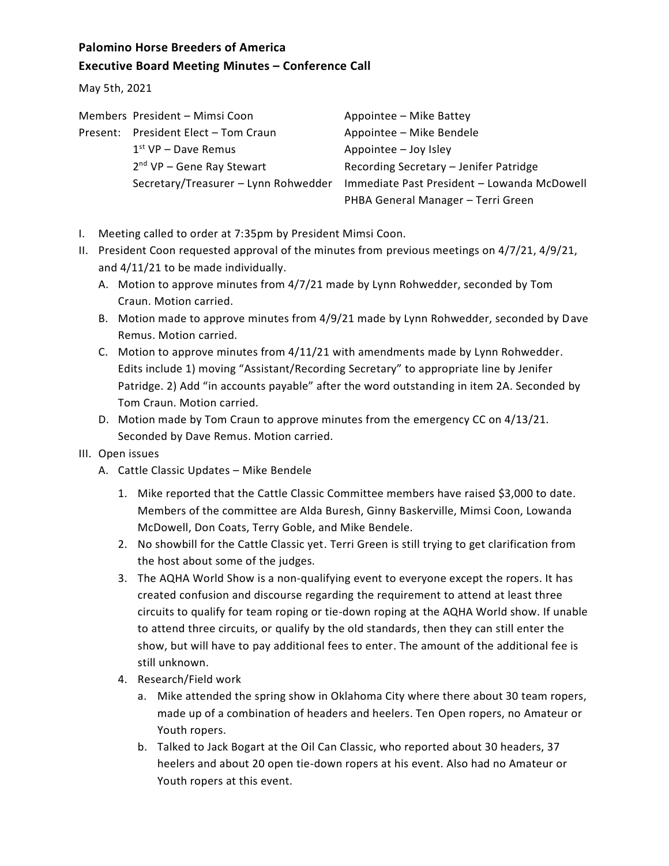## **Palomino Horse Breeders of America Executive Board Meeting Minutes – Conference Call**

May 5th, 2021

|  | Members President - Mimsi Coon       | Appointee - Mike Battey                     |
|--|--------------------------------------|---------------------------------------------|
|  | Present: President Elect - Tom Craun | Appointee - Mike Bendele                    |
|  | $1st$ VP – Dave Remus                | Appointee - Joy Isley                       |
|  | $2nd$ VP – Gene Ray Stewart          | Recording Secretary - Jenifer Patridge      |
|  | Secretary/Treasurer - Lynn Rohwedder | Immediate Past President - Lowanda McDowell |
|  |                                      | PHBA General Manager - Terri Green          |

- I. Meeting called to order at 7:35pm by President Mimsi Coon.
- II. President Coon requested approval of the minutes from previous meetings on 4/7/21, 4/9/21, and 4/11/21 to be made individually.
	- A. Motion to approve minutes from 4/7/21 made by Lynn Rohwedder, seconded by Tom Craun. Motion carried.
	- B. Motion made to approve minutes from 4/9/21 made by Lynn Rohwedder, seconded by Dave Remus. Motion carried.
	- C. Motion to approve minutes from 4/11/21 with amendments made by Lynn Rohwedder. Edits include 1) moving "Assistant/Recording Secretary" to appropriate line by Jenifer Patridge. 2) Add "in accounts payable" after the word outstanding in item 2A. Seconded by Tom Craun. Motion carried.
	- D. Motion made by Tom Craun to approve minutes from the emergency CC on 4/13/21. Seconded by Dave Remus. Motion carried.

## III. Open issues

- A. Cattle Classic Updates Mike Bendele
	- 1. Mike reported that the Cattle Classic Committee members have raised \$3,000 to date. Members of the committee are Alda Buresh, Ginny Baskerville, Mimsi Coon, Lowanda McDowell, Don Coats, Terry Goble, and Mike Bendele.
	- 2. No showbill for the Cattle Classic yet. Terri Green is still trying to get clarification from the host about some of the judges.
	- 3. The AQHA World Show is a non-qualifying event to everyone except the ropers. It has created confusion and discourse regarding the requirement to attend at least three circuits to qualify for team roping or tie-down roping at the AQHA World show. If unable to attend three circuits, or qualify by the old standards, then they can still enter the show, but will have to pay additional fees to enter. The amount of the additional fee is still unknown.
	- 4. Research/Field work
		- a. Mike attended the spring show in Oklahoma City where there about 30 team ropers, made up of a combination of headers and heelers. Ten Open ropers, no Amateur or Youth ropers.
		- b. Talked to Jack Bogart at the Oil Can Classic, who reported about 30 headers, 37 heelers and about 20 open tie-down ropers at his event. Also had no Amateur or Youth ropers at this event.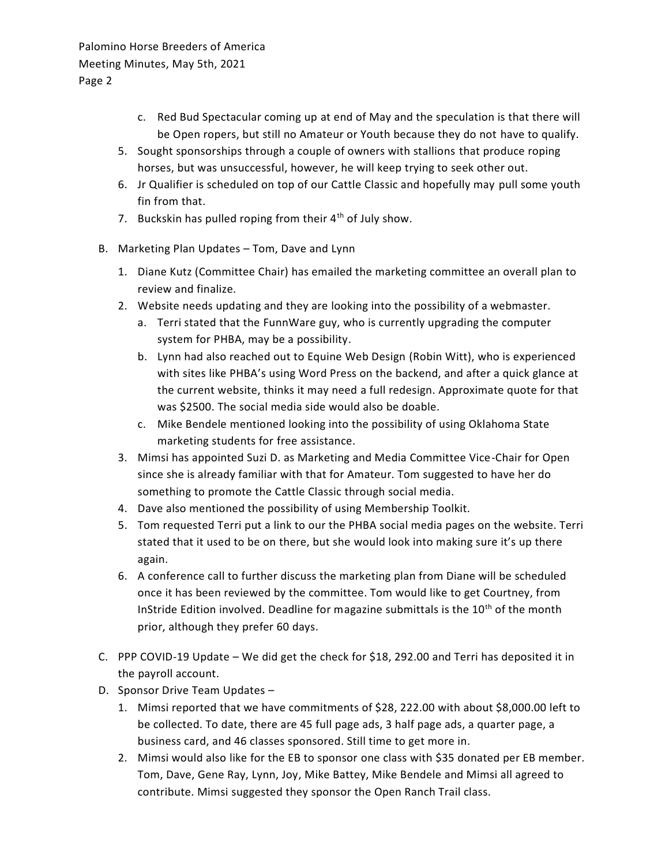Palomino Horse Breeders of America Meeting Minutes, May 5th, 2021 Page 2

- c. Red Bud Spectacular coming up at end of May and the speculation is that there will be Open ropers, but still no Amateur or Youth because they do not have to qualify.
- 5. Sought sponsorships through a couple of owners with stallions that produce roping horses, but was unsuccessful, however, he will keep trying to seek other out.
- 6. Jr Qualifier is scheduled on top of our Cattle Classic and hopefully may pull some youth fin from that.
- 7. Buckskin has pulled roping from their  $4<sup>th</sup>$  of July show.
- B. Marketing Plan Updates Tom, Dave and Lynn
	- 1. Diane Kutz (Committee Chair) has emailed the marketing committee an overall plan to review and finalize.
	- 2. Website needs updating and they are looking into the possibility of a webmaster.
		- a. Terri stated that the FunnWare guy, who is currently upgrading the computer system for PHBA, may be a possibility.
		- b. Lynn had also reached out to Equine Web Design (Robin Witt), who is experienced with sites like PHBA's using Word Press on the backend, and after a quick glance at the current website, thinks it may need a full redesign. Approximate quote for that was \$2500. The social media side would also be doable.
		- c. Mike Bendele mentioned looking into the possibility of using Oklahoma State marketing students for free assistance.
	- 3. Mimsi has appointed Suzi D. as Marketing and Media Committee Vice-Chair for Open since she is already familiar with that for Amateur. Tom suggested to have her do something to promote the Cattle Classic through social media.
	- 4. Dave also mentioned the possibility of using Membership Toolkit.
	- 5. Tom requested Terri put a link to our the PHBA social media pages on the website. Terri stated that it used to be on there, but she would look into making sure it's up there again.
	- 6. A conference call to further discuss the marketing plan from Diane will be scheduled once it has been reviewed by the committee. Tom would like to get Courtney, from InStride Edition involved. Deadline for magazine submittals is the  $10<sup>th</sup>$  of the month prior, although they prefer 60 days.
- C. PPP COVID-19 Update We did get the check for \$18, 292.00 and Terri has deposited it in the payroll account.
- D. Sponsor Drive Team Updates
	- 1. Mimsi reported that we have commitments of \$28, 222.00 with about \$8,000.00 left to be collected. To date, there are 45 full page ads, 3 half page ads, a quarter page, a business card, and 46 classes sponsored. Still time to get more in.
	- 2. Mimsi would also like for the EB to sponsor one class with \$35 donated per EB member. Tom, Dave, Gene Ray, Lynn, Joy, Mike Battey, Mike Bendele and Mimsi all agreed to contribute. Mimsi suggested they sponsor the Open Ranch Trail class.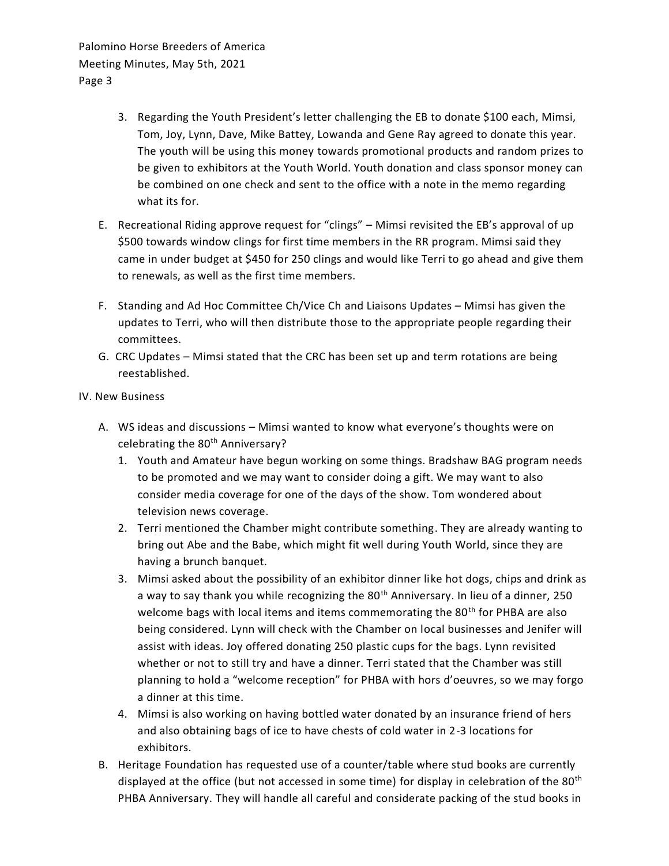Palomino Horse Breeders of America Meeting Minutes, May 5th, 2021 Page 3

- 3. Regarding the Youth President's letter challenging the EB to donate \$100 each, Mimsi, Tom, Joy, Lynn, Dave, Mike Battey, Lowanda and Gene Ray agreed to donate this year. The youth will be using this money towards promotional products and random prizes to be given to exhibitors at the Youth World. Youth donation and class sponsor money can be combined on one check and sent to the office with a note in the memo regarding what its for.
- E. Recreational Riding approve request for "clings" Mimsi revisited the EB's approval of up \$500 towards window clings for first time members in the RR program. Mimsi said they came in under budget at \$450 for 250 clings and would like Terri to go ahead and give them to renewals, as well as the first time members.
- F. Standing and Ad Hoc Committee Ch/Vice Ch and Liaisons Updates Mimsi has given the updates to Terri, who will then distribute those to the appropriate people regarding their committees.
- G. CRC Updates Mimsi stated that the CRC has been set up and term rotations are being reestablished.

IV. New Business

- A. WS ideas and discussions Mimsi wanted to know what everyone's thoughts were on celebrating the 80<sup>th</sup> Anniversary?
	- 1. Youth and Amateur have begun working on some things. Bradshaw BAG program needs to be promoted and we may want to consider doing a gift. We may want to also consider media coverage for one of the days of the show. Tom wondered about television news coverage.
	- 2. Terri mentioned the Chamber might contribute something. They are already wanting to bring out Abe and the Babe, which might fit well during Youth World, since they are having a brunch banquet.
	- 3. Mimsi asked about the possibility of an exhibitor dinner like hot dogs, chips and drink as a way to say thank you while recognizing the 80<sup>th</sup> Anniversary. In lieu of a dinner, 250 welcome bags with local items and items commemorating the 80<sup>th</sup> for PHBA are also being considered. Lynn will check with the Chamber on local businesses and Jenifer will assist with ideas. Joy offered donating 250 plastic cups for the bags. Lynn revisited whether or not to still try and have a dinner. Terri stated that the Chamber was still planning to hold a "welcome reception" for PHBA with hors d'oeuvres, so we may forgo a dinner at this time.
	- 4. Mimsi is also working on having bottled water donated by an insurance friend of hers and also obtaining bags of ice to have chests of cold water in 2-3 locations for exhibitors.
- B. Heritage Foundation has requested use of a counter/table where stud books are currently displayed at the office (but not accessed in some time) for display in celebration of the 80<sup>th</sup> PHBA Anniversary. They will handle all careful and considerate packing of the stud books in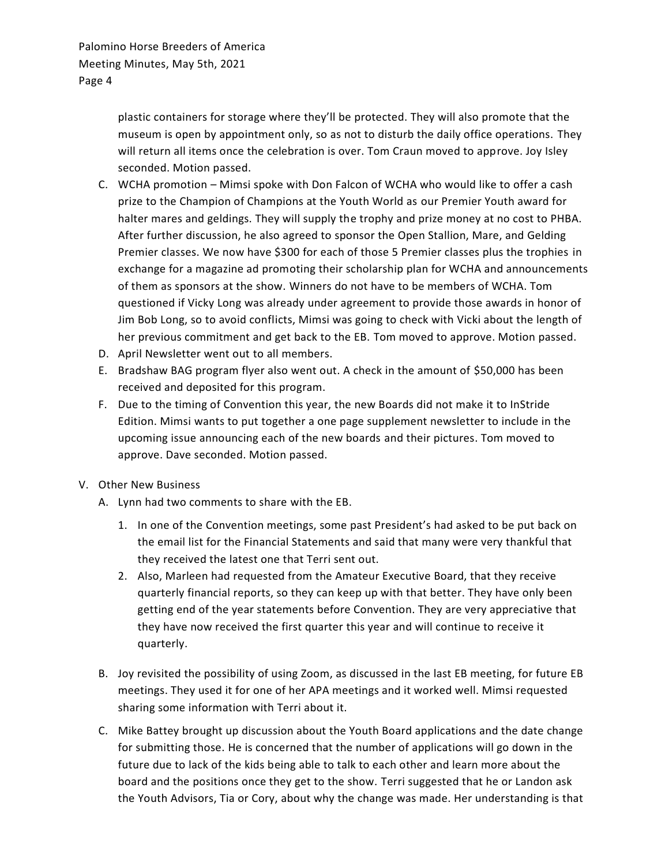plastic containers for storage where they'll be protected. They will also promote that the museum is open by appointment only, so as not to disturb the daily office operations. They will return all items once the celebration is over. Tom Craun moved to approve. Joy Isley seconded. Motion passed.

- C. WCHA promotion Mimsi spoke with Don Falcon of WCHA who would like to offer a cash prize to the Champion of Champions at the Youth World as our Premier Youth award for halter mares and geldings. They will supply the trophy and prize money at no cost to PHBA. After further discussion, he also agreed to sponsor the Open Stallion, Mare, and Gelding Premier classes. We now have \$300 for each of those 5 Premier classes plus the trophies in exchange for a magazine ad promoting their scholarship plan for WCHA and announcements of them as sponsors at the show. Winners do not have to be members of WCHA. Tom questioned if Vicky Long was already under agreement to provide those awards in honor of Jim Bob Long, so to avoid conflicts, Mimsi was going to check with Vicki about the length of her previous commitment and get back to the EB. Tom moved to approve. Motion passed.
- D. April Newsletter went out to all members.
- E. Bradshaw BAG program flyer also went out. A check in the amount of \$50,000 has been received and deposited for this program.
- F. Due to the timing of Convention this year, the new Boards did not make it to InStride Edition. Mimsi wants to put together a one page supplement newsletter to include in the upcoming issue announcing each of the new boards and their pictures. Tom moved to approve. Dave seconded. Motion passed.
- V. Other New Business
	- A. Lynn had two comments to share with the EB.
		- 1. In one of the Convention meetings, some past President's had asked to be put back on the email list for the Financial Statements and said that many were very thankful that they received the latest one that Terri sent out.
		- 2. Also, Marleen had requested from the Amateur Executive Board, that they receive quarterly financial reports, so they can keep up with that better. They have only been getting end of the year statements before Convention. They are very appreciative that they have now received the first quarter this year and will continue to receive it quarterly.
	- B. Joy revisited the possibility of using Zoom, as discussed in the last EB meeting, for future EB meetings. They used it for one of her APA meetings and it worked well. Mimsi requested sharing some information with Terri about it.
	- C. Mike Battey brought up discussion about the Youth Board applications and the date change for submitting those. He is concerned that the number of applications will go down in the future due to lack of the kids being able to talk to each other and learn more about the board and the positions once they get to the show. Terri suggested that he or Landon ask the Youth Advisors, Tia or Cory, about why the change was made. Her understanding is that